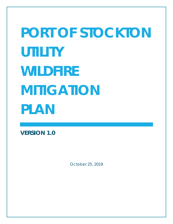# **PORT OF STOCKTON UTILITY WILDFIRE MITIGATION PLAN**

**VERSION 1.0**

*October 25, 2019*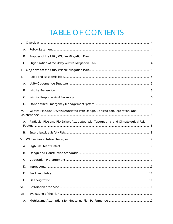# TABLE OF CONTENTS

| I.                           |                                                                                       |  |  |  |  |
|------------------------------|---------------------------------------------------------------------------------------|--|--|--|--|
| А.                           |                                                                                       |  |  |  |  |
| Β.                           |                                                                                       |  |  |  |  |
| $C$ .                        |                                                                                       |  |  |  |  |
| Ш.                           |                                                                                       |  |  |  |  |
| $\mathop{\rm III.}\nolimits$ |                                                                                       |  |  |  |  |
| Α.                           |                                                                                       |  |  |  |  |
| <b>B.</b>                    |                                                                                       |  |  |  |  |
| $C$ .                        |                                                                                       |  |  |  |  |
| D.                           |                                                                                       |  |  |  |  |
| IV.                          | Wildfire Risks and Drivers Associated With Design, Construction, Operation, and       |  |  |  |  |
| А.                           | Particular Risks and Risk Drivers Associated With Topographic and Climatological Risk |  |  |  |  |
| Β.                           |                                                                                       |  |  |  |  |
| V.                           |                                                                                       |  |  |  |  |
| Α.                           |                                                                                       |  |  |  |  |
| Β.                           |                                                                                       |  |  |  |  |
| C.                           |                                                                                       |  |  |  |  |
| D.                           |                                                                                       |  |  |  |  |
| Ε.                           |                                                                                       |  |  |  |  |
| F.                           |                                                                                       |  |  |  |  |
| VI.                          |                                                                                       |  |  |  |  |
| VII.                         |                                                                                       |  |  |  |  |
| A.                           |                                                                                       |  |  |  |  |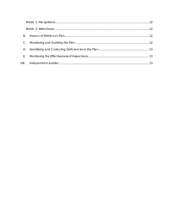| Β.    |  |
|-------|--|
|       |  |
| D.    |  |
| Е.    |  |
| VIII. |  |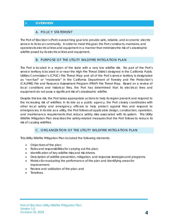# <span id="page-3-1"></span><span id="page-3-0"></span>**I. OVERVIEW**

#### A. POLICY STATEMENT

The Port of Stockton's (Port) overarching goal is to provide safe, reliable, and economic electric service to its local community. In order to meet this goal, the Port constructs, maintains, and operates its electrical lines and equipment in a manner that minimizes the risk of catastrophic wildfire posed by its electrical lines and equipment.

### B. PURPOSE OF THE UTILITY WILDFIRE MITIGATION PI AN

<span id="page-3-2"></span>The Port is located in a region of the state with a very low wildfire risk. No part of the Port's service territory is located in or near the High Fire Threat District designed in the California Public Utilities Commission's (CPUC) Fire Threat Map and all of the Port's service territory is designated as "non-fuel" or "moderate" in the California Department of Forestry and Fire Protection's (CALFIRE) Fire and Resource Assessment Program (FRAP) Fire Threat Map. Based on a review of local conditions and historical fires, the Port has determined that its electrical lines and equipment do not pose a significant risk of catastrophic wildfire.

Despite this low risk, the Port takes appropriate actions to help its region prevent and respond to the increasing risk of wildfires. In its role as a public agency, the Port closely coordinates with other local safety and emergency officials to help protect against fires and respond to emergencies. In its role as a utility, the Port follows all applicable design, construction, operation, and maintenance requirements that reduce safety risks associated with its system. This Utility Wildfire Mitigation Plan describes the safety-related measures that the Port follows to reduce its risk of causing wildfires.

# C. ORGANIZATION OF THE UTILITY WILDFIRE MITIGATION PLAN

<span id="page-3-3"></span>This Utility Wildfire Mitigation Plan included the following elements:

- Objectives of the plan;
- Roles and responsibilities for carrying out the plan;
- Identification of key wildfire risks and risk drivers;
- Description of wildfire prevention, mitigation, and response strategies and programs;
- Metrics for evaluating the performance of the plan and identifying areas for improvement;
- Review and validation of the plan; and
- **Timelines**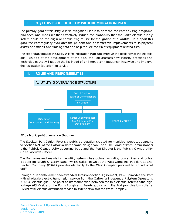### <span id="page-4-0"></span>**II. OBJECTIVES OF THE UTILITY WILDFIRE MITIGATION PLAN**

The primary goal of this Utility Wildfire Mitigation Plan is to describe the Port's existing programs, practices, and measures that effectively reduce the probability that the Port's electric supply system could be the origin or contributing source for the ignition of a wildfire. To support this goal, the Port regularly evaluates the prudent and cost-effective improvements to its physical assets, operations, and training that can help reduce the risk of equipment-related fires.

The secondary goal of this Utility Wildfire Mitigation Plan is to improve the resiliency of the electric grid. As part of the development of this plan, the Port assesses new industry practices and technologies that will reduce the likelihood of an interruption (frequency) in service and improve the restoration (duration) of service.

<span id="page-4-2"></span><span id="page-4-1"></span>

POU / Municipal Governance Structure:

The Stockton Port District (Port) is a public corporation created for municipal purposes pursuant to Section 6290 of the California Harbors and Navigation Code. The Board of Port Commissioners is the Publicly Owned Utility governing body and the Port Director is the Publicly Owned Utility Chief Executive Officer.

The Port owns and maintains the utility system infrastructure, including power lines and poles, located on Rough & Ready Island, which is also known as the West Complex. Pacific Gas and Electric Company (PG&E) provides electricity to the West Complex pursuant to an industrial tariff.

Through a recently amended/extended Interconnection Agreement, PG&E provides the Port with wholesale electric transmission service from the California Independent System Operator's (CAISO) electric grid. The point of interconnection between the two electric systems is the high voltage (60kV) side of the Port's Rough and Ready substation. The Port provides low voltage (12kV) retail electric distribution service to its tenants within the West Complex.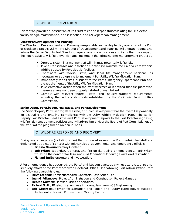# B. WILDFIRE PREVENTION

<span id="page-5-0"></span>This section provides a description of Port Staff roles and responsibilities relating to: (1) electric facility design, maintenance, and inspection; and (2) vegetation management.

#### **Director of Development and Planning:**

The Director of Development and Planning is responsible for the day to day operation of the Port of Stockton's Electric Utility. The Director of Development and Planning will prepare reports and advise the Senior Deputy Port Director of operational circumstances and items that may impact the Port relative to wildfire prevention and implement the following best management practices:

- Operate system in a manner that will minimize potential wildfire risks.
- Take all reasonable and practicable actions to minimize the risk of a catastrophic wildfire caused by Port electric facilities.
- Coordinate with federal, state, and local fire management personnel as necessary or appropriate to implement Port Utility Wildfire Mitigation Plan.
- Immediately report fires, pursuant to the Port's Emergency Operations Plan and the requirements of this Utility Wildfire Mitigation Plan.
- Take corrective action when the staff witnesses or is notified that fire protection measures have not been properly installed or maintained.
- Comply with relevant federal, state, and industry standard requirements, including the industry standards established by the California Public Utilities Commission.

#### **Senior Deputy Port Director, Real Estate, and Port Development:**

The Senior Deputy Port Director, Real Estate, and Port Development has the overall responsibility for executing and ensuring compliance with the Utility Wildfire Mitigation Plan. The Senior Deputy Port Director, Real Estate and Port Development reports to the Port Director regarding wildfire risk management activities and will advise him and/or the Board of Port Commissioners of the status of the program on an annual basis.

#### C. WILDFIRE RESPONSE AND RECOVERY

<span id="page-5-1"></span>During any emergency (including a fire) that occurs at or near the Port, certain Port staff are designated as points of contact with relevant local governmental and emergency officials:

- o **Ricardo Navarro:** Primary Contact
- o **Bob Wilson:** Secondary Contact, and first on site during an emergency. Bob Wilson would be the contact for Tesla and Grid Operations for outage and load restoration.
- o **Richard Smith**: response and investigation.

After an emergency has occurred, the Port Administration oversees any necessary response and recovery efforts of the Port of Stockton Electrical Utilities. The following Port Administration Staff the following oversights roles:

- **Steve Escobar**: Administrator and Contracts, Rate Schedules
- **Juan G. Villanueva**: Project Administration and Construction Project Manager
- **Ricardo Navarro**: Electrical Utilities operations
- **Richard Smith, PE**: electrical engineering consultant from HCS Engineering
- **Bob Wilson**: troubleman for substation and Rough and Ready Island power outages; outside contractor with Bockmon and Woody Electric.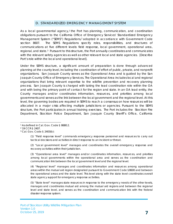#### D. STANDARDIZED EMERGENCY MANAGEMENT SYSTEM

<span id="page-6-0"></span>As a local governmental agency, $1$  the Port has planning, communication, and coordination obligations pursuant to the California Office of Emergency Services' Standardized Emergency Management System ("SEMS") Regulations,[2](#page-6-2) adopted in accordance with Government Code section 8607. The SEMS Regulations specify roles, responsibilities, and structures of communications at five different levels: field response, local government, operational area, regional, and state.[3](#page-6-3) Pursuant to this structure, the Port annually coordinates and communicates with the relevant safety agencies as well as other relevant local and state agencies. [Describe Port's role within the local and operational level].

Under the SEMS structure, a significant amount of preparation is done through advanced planning at the county level, including the coordination of effort of public, private, and nonprofit organizations. San Joaquin County serves as the Operational Area and is guided by the San Joaquin County Office of Emergency Services. The Operational Area includes local and regional organizations that bring relevant expertise to the wildfire prevention and recovery planning process. San Joaquin County is charged with taking the lead coordination role within the OA and with being the primary point of contact for the region and state. In an OA lead entity, the County manages and/or coordinates information, resources, and priorities among local governments and serves as the link between the local government and the regional level. At this level, the governing bodies are required in SEMS to reach a consensus on how resources will be allocated in a major crisis affecting multiple jurisdictions or agencies. Pursuant to the SEMS structure, the Port participates in annual training exercises. The Port includes the Stockton Fire Department, Stockton Police Department, San Joaquin County Sheriff's Office, California

(1) "Field response level" commands emergency response personnel and resources to carry out tactical decisions and activities in direct response to an incident or threat.

(2) "Local government level" manages and coordinates the overall emergency response and recovery activities within their jurisdiction.

(3) "Operational area level" manages and/or coordinates information, resources, and priorities among local governments within the operational area and serves as the coordination and communication link between the local government level and the regional level.

(4) "Regional level" manages and coordinates information and resources among operational areas within the mutual aid region designated pursuant to Government Code §8600 and between the operational areas and the state level. This level along with the state level coordinates overall state agency support for emergency response activities.

(5) "State level" manages state resources in response to the emergency needs of the other levels, manages and coordinates mutual aid among the mutual aid regions and between the regional level and state level, and serves as the coordination and communication link with the federal disaster response system.

<span id="page-6-1"></span> <sup>1</sup> As defined in Cal. Gov. Code § 8680.2.

<span id="page-6-2"></span><sup>2</sup> 19 CCR § 2407.

<span id="page-6-3"></span><sup>3</sup> Cal. Gov. Code § 2403(b):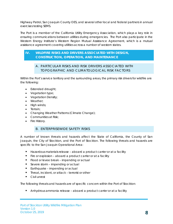Highway Patrol, San Joaquin County OES, and several other local and federal partners in annual exercises testing SEMS.

The Port is a member of the California Utility Emergency Association, which plays a key role in ensuring communications between utilities during emergencies. The Port also participate in the Western Energy Institute's Western Region Mutual Assistance Agreement, which is a mutual assistance agreement covering utilities across a number of western states.

# <span id="page-7-1"></span><span id="page-7-0"></span>**IV. WILDFIRE RISKS AND DRIVERS ASSOCIATED WITH DESIGN, CONSTRUCTION, OPERATION, AND MAINTENANCE**

# A. PARTICULAR RISKS AND RISK DRIVERS ASSOCIATED WITH TOPOGRAPHIC AND CLIMATOLOGICAL RISK FACTORS

Within the Port's service territory and the surrounding areas, the primary risk drivers for wildfire are the following:

- Extended drought;
- Vegetation type;
- Vegetation Density;
- Weather;
- High winds;
- Terrain;
- Changing Weather Patterns (Climate Change);
- Communities at Risk;
- <span id="page-7-2"></span>• Fire History.

# B. ENTERPRISEWIDE SAFETY RISKS

A number of known threats and hazards affect the State of California, the County of San Joaquin, the City of Stockton, and the Port of Stockton. The following threats and hazards are specific to the San Joaquin Operational Area:

- Hazardous materials release aboard a product carrier or at a facility
- Fire or explosion aboard a product carrier or at a facility
- **Filood or levee break impending or actual**
- **Severe storm impending or actual**
- Earthquake impending or actual
- Threat, incident, or attack terrorist or other
- Civil unrest

The following threats and hazards are of specific concern within the Port of Stockton:

Anhydrous ammonia release – aboard a product carrier or at a facility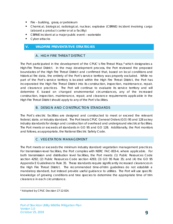- Fire building, grass, or petroleum
- Chemical, biological, radiological, nuclear, explosive (CBRNE) incident involving cargo (aboard a product carrier or at a facility)
- CBRNE incident at a major public event waterside
- **Cyber attacks**

#### <span id="page-8-1"></span><span id="page-8-0"></span>**V. WILDFIRE PREVENTATIVE STRATEGIES**

#### A. HIGH FIRE THREAT DISTRICT

The Port participated in the development of the CPUC's Fire-Threat Map,<sup>[4](#page-8-4)</sup> which designates a High-Fire Threat District. In the map development process, the Port reviewed the proposed boundaries of the High Fire Threat District and confirmed that, based on local conditions and historical fire data, the entirety of the Port's service territory was properly excluded. While no part of the Port's service territory is located within the High Fire Threat District, the Port has incorporated the High Fire Threat District into its construction, inspection, maintenance, repair, and clearance practices. The Port will continue to evaluate its service territory and will determine if, based on changed environmental circumstances, any of the increased construction, inspection, maintenance, repair, and clearance requirements applicable in the High Fire Threat District should apply to any of the Port's facilities.

#### B. DESIGN AND CONSTRUCTION STANDARDS

<span id="page-8-2"></span>The Port's electric facilities are designed and constructed to meet or exceed the relevant federal, state, or industry standard. The Port treats CPUC General Orders (GO) 95 and 128 as key industry standards for design and construction of overhead and underground electrical facilities. The Port meets or exceeds all standards in GO 95 and GO 128. Additionally, the Port monitors and follows, as appropriate, the National Electric Safety Code.

#### C. VEGETATION MANAGEMENT

<span id="page-8-3"></span>The Port meets or exceeds the minimum industry standard vegetation management practices. For transmission-level facilities, the Port complies with NERC FAC-003-4, where applicable. For both transmission and distribution level facilities, the Port meets: (1) Public Resources Code section 4292; (2) Public Resources Code section 4293; (3) GO 95 Rule 35; and (4) the GO 95 Appendix E Guidelines to Rule 35. These standards require significantly increased clearances in the High Fire Threat District. The recommended time-of-trim guidelines do not establish a mandatory standard, but instead provide useful guidance to utilities. The Port will use specific knowledge of growing conditions and tree species to determine the appropriate time of trim clearance in each circumstance.

<span id="page-8-4"></span>4 Adopted by CPUC Decision 17-12-024.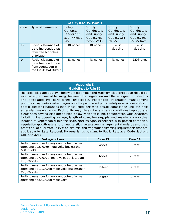| GO 95, Rule 35, Table 1 |                                                                                               |                                                                   |                                                                     |                                                                |                                                                    |  |  |  |  |
|-------------------------|-----------------------------------------------------------------------------------------------|-------------------------------------------------------------------|---------------------------------------------------------------------|----------------------------------------------------------------|--------------------------------------------------------------------|--|--|--|--|
| Case                    | <b>Type of Clearance</b>                                                                      | <b>Trolley</b><br>Contact.<br>Feeder and<br>Span Wires, 0-<br>5kv | Supply<br>Conductors<br>and Supply<br>Cables, 750 -<br>22,500 Volts | Supply<br>Conductors<br>and Supply<br>Cables, 22.5 -<br>300 kV | Supply<br>Conductors<br>and Supply<br>Cables, 300 -<br>550 kV (mm) |  |  |  |  |
| 13                      | Radial clearance of<br>bare line conductors<br>from tree branches<br>or foliage               | 18 inches                                                         | 18 inches                                                           | $\frac{1}{4}$ Pin<br>Spacing                                   | $\frac{1}{2}$ Pin<br>Spacing                                       |  |  |  |  |
| 14                      | Radial clearance of<br>bare line conductors<br>from vegetation in<br>the Fire-Threat District | 18 inches                                                         | 48 inches                                                           | 48 inches                                                      | 120 inches                                                         |  |  |  |  |

#### **Appendix E Guidelines to Rule 35**

The radial clearances shown below are recommended minimum clearances that should be established, at time of trimming, between the vegetation and the energized conductors and associated live parts where practicable. Reasonable vegetation management practices may make it advantageous for the purposes of public safety or service reliability to obtain greater clearances than those listed below to ensure compliance until the next scheduled maintenance. Each utility may determine and apply additional appropriate clearances beyond clearances listed below, which take into consideration various factors, including: line operating voltage, length of span, line sag, planned maintenance cycles, location of vegetation within the span, species type, experience with particular species, vegetation growth rate and characteristics, vegetation management standards and best practices, local climate, elevation, fire risk, and vegetation trimming requirements that are applicable to State Responsibility Area lands pursuant to Public Resource Code Sections 4102 and 4293.

| <b>Voltage of Lines</b>                                                                                             | Case 13 | Case 14 |
|---------------------------------------------------------------------------------------------------------------------|---------|---------|
| Radial clearances for any conductor of a line<br>operating at 2,400 or more volts, but less than<br>72,000 volts    | 4 feet  | 12 feet |
| Radial clearances for any conductor of a line<br>operating at 72,000 or more volts, but less than<br>110,000 volts  | 6 feet  | 20 feet |
| Radial clearances for any conductor of a line<br>operating at 110,000 or more volts, but less than<br>300,000 volts | 10 feet | 30 feet |
| Radial clearances for any conductor of a line<br>operating at 300,000 or more volts                                 | 15 feet | 30 feet |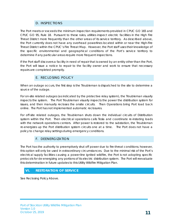# D. INSPECTIONS

<span id="page-10-0"></span>The Port meets or exceeds the minimum inspection requirements provided in CPUC GO 165 and CPUC GO 95, Rule 18. Pursuant to these rules, utilities inspect electric facilities in the High Fire Threat District more frequently than the other areas of its service territory. As described above, the Port currently does not have any overhead powerlines located within or near the High-Fire Threat District within the CPUC's Fire Threat Map. However, the Port staff uses their knowledge of the specific environmental and geographical conditions of the Port's service territory to determine if any particular areas require more frequent inspections.

If the Port staff discovers a facility in need of repair that is owned by an entity other than the Port, the Port will issue a notice to repair to the facility owner and work to ensure that necessary repairs are completed promptly.

# E. RECLOSING POLICY

<span id="page-10-1"></span>When an outage occurs, the first step is the Troubleman is dispatched to the site to determine a source of the outage.

For on-site related outages (as indicated by the protective relay system), the Troubleman visually inspects the system. The Port Troubleman visually inspects the power the distribution system for issues, and then manually recloses the onsite circuits. Then Operations bring Port load back online. The Port has not implemented automatic reclosures.

For off-site related outages, the Troubleman shuts down the individual circuits of Distribution system within the Port. Then electrical operations calls Tesla and coordinate re-instating loads with the network operations centers. After power is restored to the substation, the Troubleman re-energizes up the Port distribution system circuits one at a time. The Port does not have a policy to change relay settings during emergency conditions.

#### F. DEENERGIZATION

<span id="page-10-2"></span>The Port has the authority to preemptively shut off power due to fire-threat conditions; however, this option will only be used in extraordinary circumstances. Due to the minimal risk of the Port's electrical supply facilities causing a power-line ignited wildfire, the Port is not adopting specific protocols for de-energizing any portions of its electric distribution system. The Port will reevaluate this determination in future updates to this Utility Wildfire Mitigation Plan.

#### <span id="page-10-3"></span>**VI. RESTORATION OF SERVICE**

See Reclosing Policy Above.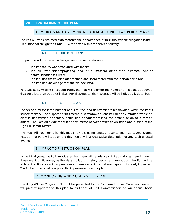# <span id="page-11-1"></span><span id="page-11-0"></span>**VII. EVALUATING OF THE PLAN**

#### A. METRICS AND ASSUMPTIONS FOR MEASURING PLAN PERFORMANCE

The Port will track two metrics to measure the performance of this Utility Wildfire Mitigation Plan: (1) number of fire ignitions; and (2) wires down within the service territory.

### METRIC 1: FIRE IGNITIONS

<span id="page-11-2"></span>For purposes of this metric, a fire ignition is defined as follows:

- The Port facility was associated with the fire;
- The fire was self-propagating and of a material other than electrical and/or communication facilities;
- The resulting fire traveled greater than one linear meter from the ignition point; and
- The Port has knowledge that the fire occurred.

In future Utility Wildfire Mitigation Plans, the Port will provide the number of fires that occurred that were less than 10 acres in size. Any fires greater than 10 acres will be individually described.

# METRIC 2: WIRES DOWN

<span id="page-11-3"></span>The second metric is the number of distribution and transmission wires downed within the Port's service territory. For purposes of this metric, a wires down event includes any instance where an electric transmission or primary distribution conductor falls to the ground or on to a foreign object. The Port will divide the wires down metric between wires down inside and outside of the High Fire Threat District.

The Port will not normalize this metric by excluding unusual events, such as severe storms. Instead, the Port will supplement this metric with a qualitative description of any such unusual events.

#### B. IMPACT OF METRICS ON PLAN

<span id="page-11-4"></span>In the initial years, the Port anticipates that there will be relatively limited data gathered through these metrics. However, as the data collection history becomes more robust, the Port will be able to identify areas of its operations and service territory that are disproportionately impacted. The Port will then evaluate potential improvements to the plan.

# C. MONITORING AND AUDITING THE PLAN

<span id="page-11-5"></span>This Utility Wildfire Mitigation Plan will be presented to the Port Board of Port Commissioners and will present updates to this plan to its Board of Port Commissioners on an annual basis.